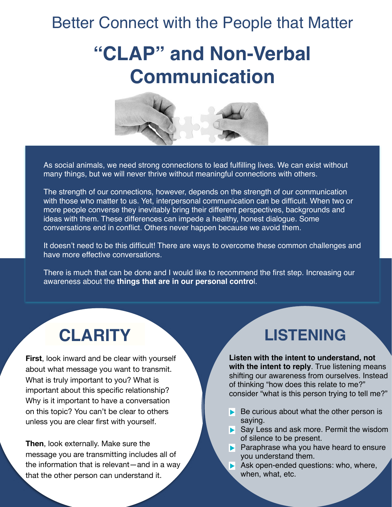## Better Connect with the People that Matter

# **"CLAP" and Non-Verbal Communication**



As social animals, we need strong connections to lead fulfilling lives. We can exist without many things, but we will never thrive without meaningful connections with others.

The strength of our connections, however, depends on the strength of our communication with those who matter to us. Yet, interpersonal communication can be difficult. When two or more people converse they inevitably bring their different perspectives, backgrounds and ideas with them. These differences can impede a healthy, honest dialogue. Some conversations end in conflict. Others never happen because we avoid them.

It doesn't need to be this difficult! There are ways to overcome these common challenges and have more effective conversations.

There is much that can be done and I would like to recommend the first step. Increasing our awareness about the **things that are in our personal contro**l.

**First**, look inward and be clear with yourself about what message you want to transmit. What is truly important to you? What is important about this specific relationship? Why is it important to have a conversation on this topic? You can't be clear to others unless you are clear first with yourself.

**Then**, look externally. Make sure the message you are transmitting includes all of the information that is relevant—and in a way that the other person can understand it.

#### **CLARITY LISTENING**

**Listen with the intent to understand, not with the intent to reply**. True listening means shifting our awareness from ourselves. Instead of thinking "how does this relate to me?" consider "what is this person trying to tell me?"

- Be curious about what the other person is saying.
- Say Less and ask more. Permit the wisdom of silence to be present.
- **Paraphrase wha you have heard to ensure** you understand them.
- Ask open-ended questions: who, where, when, what, etc.